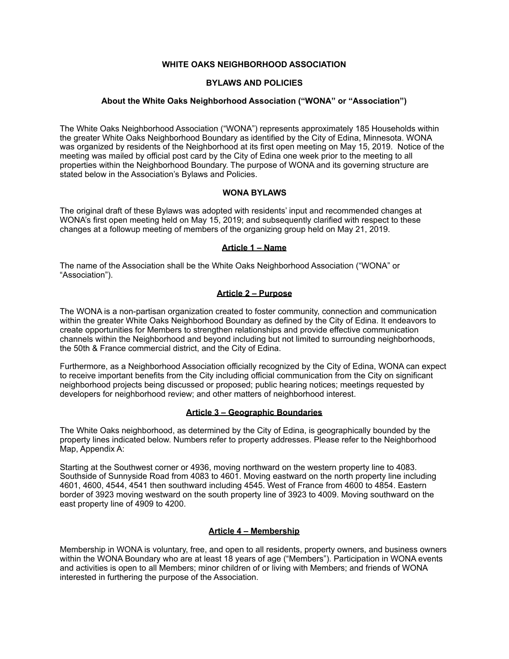## **WHITE OAKS NEIGHBORHOOD ASSOCIATION**

## **BYLAWS AND POLICIES**

#### **About the White Oaks Neighborhood Association ("WONA" or "Association")**

The White Oaks Neighborhood Association ("WONA") represents approximately 185 Households within the greater White Oaks Neighborhood Boundary as identified by the City of Edina, Minnesota. WONA was organized by residents of the Neighborhood at its first open meeting on May 15, 2019. Notice of the meeting was mailed by official post card by the City of Edina one week prior to the meeting to all properties within the Neighborhood Boundary. The purpose of WONA and its governing structure are stated below in the Association's Bylaws and Policies.

## **WONA BYLAWS**

The original draft of these Bylaws was adopted with residents' input and recommended changes at WONA's first open meeting held on May 15, 2019; and subsequently clarified with respect to these changes at a followup meeting of members of the organizing group held on May 21, 2019.

## **Article 1 – Name**

The name of the Association shall be the White Oaks Neighborhood Association ("WONA" or "Association").

## **Article 2 – Purpose**

The WONA is a non-partisan organization created to foster community, connection and communication within the greater White Oaks Neighborhood Boundary as defined by the City of Edina. It endeavors to create opportunities for Members to strengthen relationships and provide effective communication channels within the Neighborhood and beyond including but not limited to surrounding neighborhoods, the 50th & France commercial district, and the City of Edina.

Furthermore, as a Neighborhood Association officially recognized by the City of Edina, WONA can expect to receive important benefits from the City including official communication from the City on significant neighborhood projects being discussed or proposed; public hearing notices; meetings requested by developers for neighborhood review; and other matters of neighborhood interest.

#### **Article 3 – Geographic Boundaries**

The White Oaks neighborhood, as determined by the City of Edina, is geographically bounded by the property lines indicated below. Numbers refer to property addresses. Please refer to the Neighborhood Map, Appendix A:

Starting at the Southwest corner or 4936, moving northward on the western property line to 4083. Southside of Sunnyside Road from 4083 to 4601. Moving eastward on the north property line including 4601, 4600, 4544, 4541 then southward including 4545. West of France from 4600 to 4854. Eastern border of 3923 moving westward on the south property line of 3923 to 4009. Moving southward on the east property line of 4909 to 4200.

# **Article 4 – Membership**

Membership in WONA is voluntary, free, and open to all residents, property owners, and business owners within the WONA Boundary who are at least 18 years of age ("Members"). Participation in WONA events and activities is open to all Members; minor children of or living with Members; and friends of WONA interested in furthering the purpose of the Association.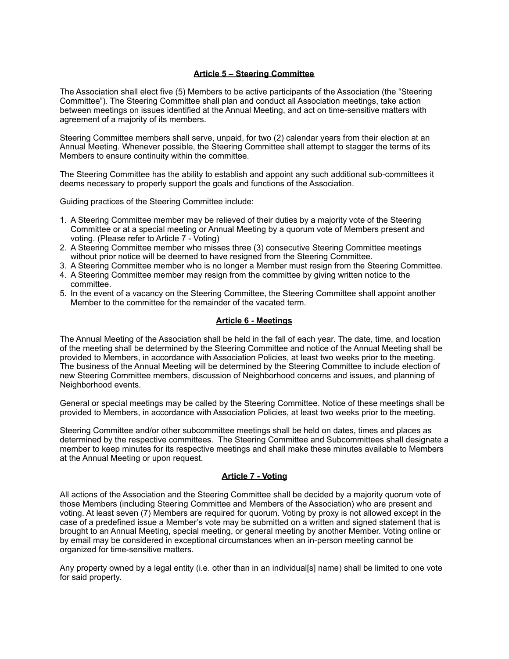### **Article 5 – Steering Committee**

The Association shall elect five (5) Members to be active participants of the Association (the "Steering Committee"). The Steering Committee shall plan and conduct all Association meetings, take action between meetings on issues identified at the Annual Meeting, and act on time-sensitive matters with agreement of a majority of its members.

Steering Committee members shall serve, unpaid, for two (2) calendar years from their election at an Annual Meeting. Whenever possible, the Steering Committee shall attempt to stagger the terms of its Members to ensure continuity within the committee.

The Steering Committee has the ability to establish and appoint any such additional sub-committees it deems necessary to properly support the goals and functions of the Association.

Guiding practices of the Steering Committee include:

- 1. A Steering Committee member may be relieved of their duties by a majority vote of the Steering Committee or at a special meeting or Annual Meeting by a quorum vote of Members present and voting. (Please refer to Article 7 - Voting)
- 2. A Steering Committee member who misses three (3) consecutive Steering Committee meetings without prior notice will be deemed to have resigned from the Steering Committee.
- 3. A Steering Committee member who is no longer a Member must resign from the Steering Committee.
- 4. A Steering Committee member may resign from the committee by giving written notice to the committee.
- 5. In the event of a vacancy on the Steering Committee, the Steering Committee shall appoint another Member to the committee for the remainder of the vacated term.

#### **Article 6 - Meetings**

The Annual Meeting of the Association shall be held in the fall of each year. The date, time, and location of the meeting shall be determined by the Steering Committee and notice of the Annual Meeting shall be provided to Members, in accordance with Association Policies, at least two weeks prior to the meeting. The business of the Annual Meeting will be determined by the Steering Committee to include election of new Steering Committee members, discussion of Neighborhood concerns and issues, and planning of Neighborhood events.

General or special meetings may be called by the Steering Committee. Notice of these meetings shall be provided to Members, in accordance with Association Policies, at least two weeks prior to the meeting.

Steering Committee and/or other subcommittee meetings shall be held on dates, times and places as determined by the respective committees. The Steering Committee and Subcommittees shall designate a member to keep minutes for its respective meetings and shall make these minutes available to Members at the Annual Meeting or upon request.

#### **Article 7 - Voting**

All actions of the Association and the Steering Committee shall be decided by a majority quorum vote of those Members (including Steering Committee and Members of the Association) who are present and voting. At least seven (7) Members are required for quorum. Voting by proxy is not allowed except in the case of a predefined issue a Member's vote may be submitted on a written and signed statement that is brought to an Annual Meeting, special meeting, or general meeting by another Member. Voting online or by email may be considered in exceptional circumstances when an in-person meeting cannot be organized for time-sensitive matters.

Any property owned by a legal entity (i.e. other than in an individual[s] name) shall be limited to one vote for said property.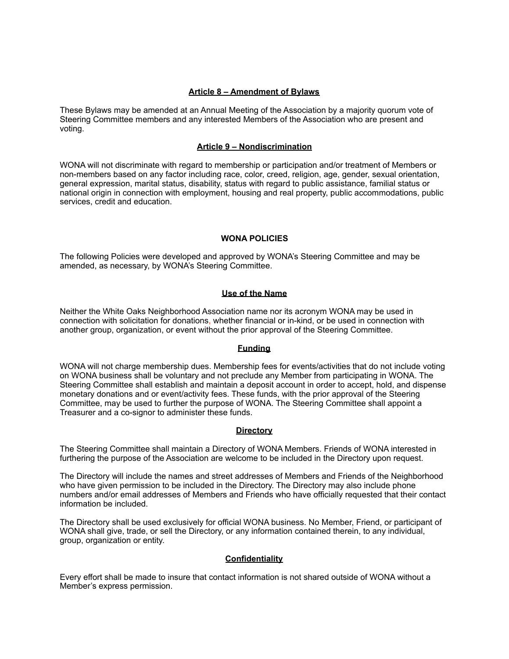#### **Article 8 – Amendment of Bylaws**

These Bylaws may be amended at an Annual Meeting of the Association by a majority quorum vote of Steering Committee members and any interested Members of the Association who are present and voting.

## **Article 9 – Nondiscrimination**

WONA will not discriminate with regard to membership or participation and/or treatment of Members or non-members based on any factor including race, color, creed, religion, age, gender, sexual orientation, general expression, marital status, disability, status with regard to public assistance, familial status or national origin in connection with employment, housing and real property, public accommodations, public services, credit and education.

## **WONA POLICIES**

The following Policies were developed and approved by WONA's Steering Committee and may be amended, as necessary, by WONA's Steering Committee.

## **Use of the Name**

Neither the White Oaks Neighborhood Association name nor its acronym WONA may be used in connection with solicitation for donations, whether financial or in-kind, or be used in connection with another group, organization, or event without the prior approval of the Steering Committee.

#### **Funding**

WONA will not charge membership dues. Membership fees for events/activities that do not include voting on WONA business shall be voluntary and not preclude any Member from participating in WONA. The Steering Committee shall establish and maintain a deposit account in order to accept, hold, and dispense monetary donations and or event/activity fees. These funds, with the prior approval of the Steering Committee, may be used to further the purpose of WONA. The Steering Committee shall appoint a Treasurer and a co-signor to administer these funds.

#### **Directory**

The Steering Committee shall maintain a Directory of WONA Members. Friends of WONA interested in furthering the purpose of the Association are welcome to be included in the Directory upon request.

The Directory will include the names and street addresses of Members and Friends of the Neighborhood who have given permission to be included in the Directory. The Directory may also include phone numbers and/or email addresses of Members and Friends who have officially requested that their contact information be included.

The Directory shall be used exclusively for official WONA business. No Member, Friend, or participant of WONA shall give, trade, or sell the Directory, or any information contained therein, to any individual, group, organization or entity.

# **Confidentiality**

Every effort shall be made to insure that contact information is not shared outside of WONA without a Member's express permission.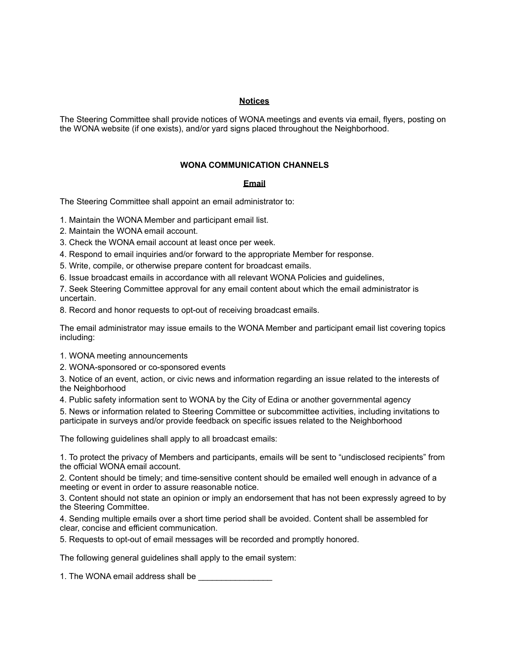#### **Notices**

The Steering Committee shall provide notices of WONA meetings and events via email, flyers, posting on the WONA website (if one exists), and/or yard signs placed throughout the Neighborhood.

## **WONA COMMUNICATION CHANNELS**

## **Email**

The Steering Committee shall appoint an email administrator to:

1. Maintain the WONA Member and participant email list.

2. Maintain the WONA email account.

3. Check the WONA email account at least once per week.

4. Respond to email inquiries and/or forward to the appropriate Member for response.

5. Write, compile, or otherwise prepare content for broadcast emails.

6. Issue broadcast emails in accordance with all relevant WONA Policies and guidelines,

7. Seek Steering Committee approval for any email content about which the email administrator is uncertain.

8. Record and honor requests to opt-out of receiving broadcast emails.

The email administrator may issue emails to the WONA Member and participant email list covering topics including:

1. WONA meeting announcements

2. WONA-sponsored or co-sponsored events

3. Notice of an event, action, or civic news and information regarding an issue related to the interests of the Neighborhood

4. Public safety information sent to WONA by the City of Edina or another governmental agency

5. News or information related to Steering Committee or subcommittee activities, including invitations to participate in surveys and/or provide feedback on specific issues related to the Neighborhood

The following guidelines shall apply to all broadcast emails:

1. To protect the privacy of Members and participants, emails will be sent to "undisclosed recipients" from the official WONA email account.

2. Content should be timely; and time-sensitive content should be emailed well enough in advance of a meeting or event in order to assure reasonable notice.

3. Content should not state an opinion or imply an endorsement that has not been expressly agreed to by the Steering Committee.

4. Sending multiple emails over a short time period shall be avoided. Content shall be assembled for clear, concise and efficient communication.

5. Requests to opt-out of email messages will be recorded and promptly honored.

The following general guidelines shall apply to the email system:

1. The WONA email address shall be \_\_\_\_\_\_\_\_\_\_\_\_\_\_\_\_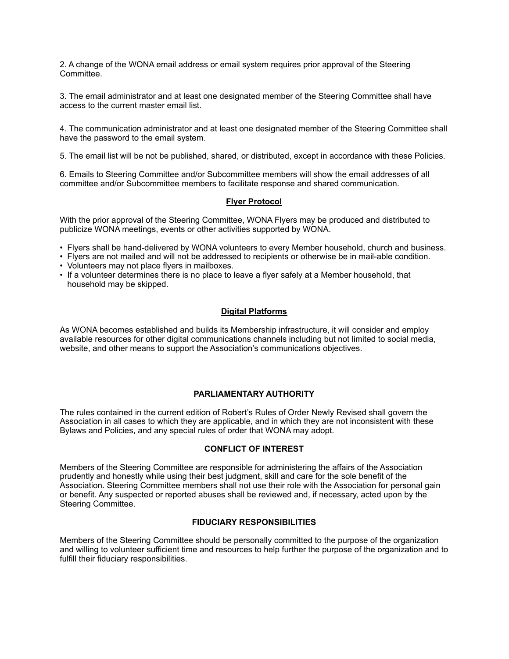2. A change of the WONA email address or email system requires prior approval of the Steering Committee.

3. The email administrator and at least one designated member of the Steering Committee shall have access to the current master email list.

4. The communication administrator and at least one designated member of the Steering Committee shall have the password to the email system.

5. The email list will be not be published, shared, or distributed, except in accordance with these Policies.

6. Emails to Steering Committee and/or Subcommittee members will show the email addresses of all committee and/or Subcommittee members to facilitate response and shared communication.

# **Flyer Protocol**

With the prior approval of the Steering Committee, WONA Flyers may be produced and distributed to publicize WONA meetings, events or other activities supported by WONA.

- Flyers shall be hand-delivered by WONA volunteers to every Member household, church and business.
- Flyers are not mailed and will not be addressed to recipients or otherwise be in mail-able condition.
- Volunteers may not place flyers in mailboxes.
- If a volunteer determines there is no place to leave a flyer safely at a Member household, that household may be skipped.

## **Digital Platforms**

As WONA becomes established and builds its Membership infrastructure, it will consider and employ available resources for other digital communications channels including but not limited to social media, website, and other means to support the Association's communications objectives.

#### **PARLIAMENTARY AUTHORITY**

The rules contained in the current edition of Robert's Rules of Order Newly Revised shall govern the Association in all cases to which they are applicable, and in which they are not inconsistent with these Bylaws and Policies, and any special rules of order that WONA may adopt.

#### **CONFLICT OF INTEREST**

Members of the Steering Committee are responsible for administering the affairs of the Association prudently and honestly while using their best judgment, skill and care for the sole benefit of the Association. Steering Committee members shall not use their role with the Association for personal gain or benefit. Any suspected or reported abuses shall be reviewed and, if necessary, acted upon by the Steering Committee.

## **FIDUCIARY RESPONSIBILITIES**

Members of the Steering Committee should be personally committed to the purpose of the organization and willing to volunteer sufficient time and resources to help further the purpose of the organization and to fulfill their fiduciary responsibilities.